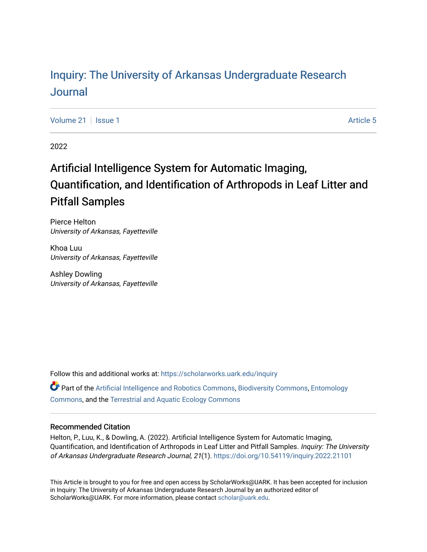# Inquiry: The Univ[ersity of Arkansas Undergraduate Resear](https://scholarworks.uark.edu/inquiry)ch [Journal](https://scholarworks.uark.edu/inquiry)

[Volume 21](https://scholarworks.uark.edu/inquiry/vol21) | [Issue 1](https://scholarworks.uark.edu/inquiry/vol21/iss1) Article 5

2022

# Artificial Intelligence System for Automatic Imaging, Quantification, and Identification of Arthropods in Leaf Litter and Pitfall Samples

Pierce Helton University of Arkansas, Fayetteville

Khoa Luu University of Arkansas, Fayetteville

Ashley Dowling University of Arkansas, Fayetteville

Follow this and additional works at: [https://scholarworks.uark.edu/inquiry](https://scholarworks.uark.edu/inquiry?utm_source=scholarworks.uark.edu%2Finquiry%2Fvol21%2Fiss1%2F5&utm_medium=PDF&utm_campaign=PDFCoverPages) Part of the [Artificial Intelligence and Robotics Commons](http://network.bepress.com/hgg/discipline/143?utm_source=scholarworks.uark.edu%2Finquiry%2Fvol21%2Fiss1%2F5&utm_medium=PDF&utm_campaign=PDFCoverPages), [Biodiversity Commons,](http://network.bepress.com/hgg/discipline/1127?utm_source=scholarworks.uark.edu%2Finquiry%2Fvol21%2Fiss1%2F5&utm_medium=PDF&utm_campaign=PDFCoverPages) [Entomology](http://network.bepress.com/hgg/discipline/83?utm_source=scholarworks.uark.edu%2Finquiry%2Fvol21%2Fiss1%2F5&utm_medium=PDF&utm_campaign=PDFCoverPages)  [Commons](http://network.bepress.com/hgg/discipline/83?utm_source=scholarworks.uark.edu%2Finquiry%2Fvol21%2Fiss1%2F5&utm_medium=PDF&utm_campaign=PDFCoverPages), and the [Terrestrial and Aquatic Ecology Commons](http://network.bepress.com/hgg/discipline/20?utm_source=scholarworks.uark.edu%2Finquiry%2Fvol21%2Fiss1%2F5&utm_medium=PDF&utm_campaign=PDFCoverPages) 

#### Recommended Citation

Helton, P., Luu, K., & Dowling, A. (2022). Artificial Intelligence System for Automatic Imaging, Quantification, and Identification of Arthropods in Leaf Litter and Pitfall Samples. Inquiry: The University of Arkansas Undergraduate Research Journal, 21(1). <https://doi.org/10.54119/inquiry.2022.21101>

This Article is brought to you for free and open access by ScholarWorks@UARK. It has been accepted for inclusion in Inquiry: The University of Arkansas Undergraduate Research Journal by an authorized editor of ScholarWorks@UARK. For more information, please contact [scholar@uark.edu](mailto:scholar@uark.edu).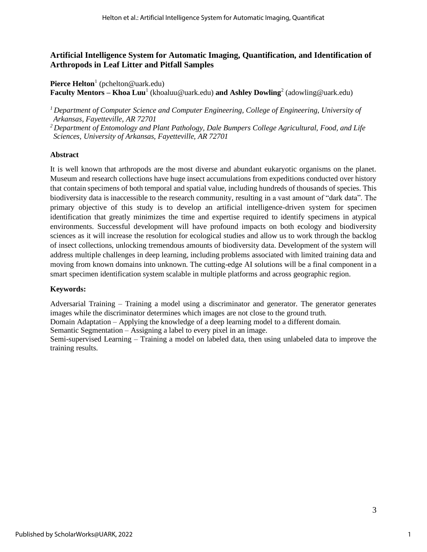# **Artificial Intelligence System for Automatic Imaging, Quantification, and Identification of Arthropods in Leaf Litter and Pitfall Samples**

## Pierce Helton<sup>1</sup> (pchelton@uark.edu) **Faculty Mentors – Khoa Luu<sup>1</sup> (khoaluu@uark.edu) and Ashley Dowling<sup>2</sup> (adowling@uark.edu)**

*<sup>1</sup>Department of Computer Science and Computer Engineering, College of Engineering, University of Arkansas, Fayetteville, AR 72701*

*<sup>2</sup>Department of Entomology and Plant Pathology, Dale Bumpers College Agricultural, Food, and Life Sciences, University of Arkansas, Fayetteville, AR 72701*

#### **Abstract**

It is well known that arthropods are the most diverse and abundant eukaryotic organisms on the planet. Museum and research collections have huge insect accumulations from expeditions conducted over history that contain specimens of both temporal and spatial value, including hundreds of thousands of species. This biodiversity data is inaccessible to the research community, resulting in a vast amount of "dark data". The primary objective of this study is to develop an artificial intelligence-driven system for specimen identification that greatly minimizes the time and expertise required to identify specimens in atypical environments. Successful development will have profound impacts on both ecology and biodiversity sciences as it will increase the resolution for ecological studies and allow us to work through the backlog of insect collections, unlocking tremendous amounts of biodiversity data. Development of the system will address multiple challenges in deep learning, including problems associated with limited training data and moving from known domains into unknown. The cutting-edge AI solutions will be a final component in a smart specimen identification system scalable in multiple platforms and across geographic region.

#### **Keywords:**

Adversarial Training – Training a model using a discriminator and generator. The generator generates images while the discriminator determines which images are not close to the ground truth.

Domain Adaptation – Applying the knowledge of a deep learning model to a different domain.

Semantic Segmentation – Assigning a label to every pixel in an image.

Semi-supervised Learning – Training a model on labeled data, then using unlabeled data to improve the training results.

1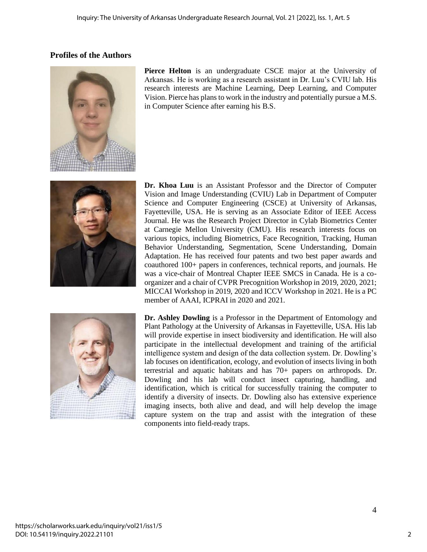# **Profiles of the Authors**



**Pierce Helton** is an undergraduate CSCE major at the University of Arkansas. He is working as a research assistant in Dr. Luu's CVIU lab. His research interests are Machine Learning, Deep Learning, and Computer Vision. Pierce has plans to work in the industry and potentially pursue a M.S. in Computer Science after earning his B.S.



**Dr. Khoa Luu** is an Assistant Professor and the Director of Computer Vision and Image Understanding (CVIU) Lab in Department of Computer Science and Computer Engineering (CSCE) at University of Arkansas, Fayetteville, USA. He is serving as an Associate Editor of IEEE Access Journal. He was the Research Project Director in Cylab Biometrics Center at Carnegie Mellon University (CMU). His research interests focus on various topics, including Biometrics, Face Recognition, Tracking, Human Behavior Understanding, Segmentation, Scene Understanding, Domain Adaptation. He has received four patents and two best paper awards and coauthored 100+ papers in conferences, technical reports, and journals. He was a vice-chair of Montreal Chapter IEEE SMCS in Canada. He is a coorganizer and a chair of CVPR Precognition Workshop in 2019, 2020, 2021; MICCAI Workshop in 2019, 2020 and ICCV Workshop in 2021. He is a PC member of AAAI, ICPRAI in 2020 and 2021.



**Dr. Ashley Dowling** is a Professor in the Department of Entomology and Plant Pathology at the University of Arkansas in Fayetteville, USA. His lab will provide expertise in insect biodiversity and identification. He will also participate in the intellectual development and training of the artificial intelligence system and design of the data collection system. Dr. Dowling's lab focuses on identification, ecology, and evolution of insects living in both terrestrial and aquatic habitats and has 70+ papers on arthropods. Dr. Dowling and his lab will conduct insect capturing, handling, and identification, which is critical for successfully training the computer to identify a diversity of insects. Dr. Dowling also has extensive experience imaging insects, both alive and dead, and will help develop the image capture system on the trap and assist with the integration of these components into field-ready traps.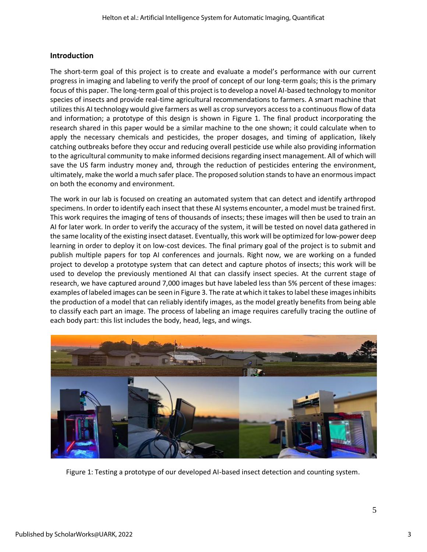#### **Introduction**

The short-term goal of this project is to create and evaluate a model's performance with our current progress in imaging and labeling to verify the proof of concept of our long-term goals; this is the primary focus of this paper. The long-term goal of this project is to develop a novel AI-based technology to monitor species of insects and provide real-time agricultural recommendations to farmers. A smart machine that utilizes this AI technology would give farmers as well as crop surveyors access to a continuous flow of data and information; a prototype of this design is shown in Figure 1. The final product incorporating the research shared in this paper would be a similar machine to the one shown; it could calculate when to apply the necessary chemicals and pesticides, the proper dosages, and timing of application, likely catching outbreaks before they occur and reducing overall pesticide use while also providing information to the agricultural community to make informed decisions regarding insect management. All of which will save the US farm industry money and, through the reduction of pesticides entering the environment, ultimately, make the world a much safer place. The proposed solution stands to have an enormous impact on both the economy and environment.

The work in our lab is focused on creating an automated system that can detect and identify arthropod specimens. In order to identify each insect that these AI systems encounter, a model must be trained first. This work requires the imaging of tens of thousands of insects; these images will then be used to train an AI for later work. In order to verify the accuracy of the system, it will be tested on novel data gathered in the same locality of the existing insect dataset. Eventually, this work will be optimized for low-power deep learning in order to deploy it on low-cost devices. The final primary goal of the project is to submit and publish multiple papers for top AI conferences and journals. Right now, we are working on a funded project to develop a prototype system that can detect and capture photos of insects; this work will be used to develop the previously mentioned AI that can classify insect species. At the current stage of research, we have captured around 7,000 images but have labeled less than 5% percent of these images: examples of labeled images can be seen in Figure 3. The rate at which it takes to label these images inhibits the production of a model that can reliably identify images, as the model greatly benefits from being able to classify each part an image. The process of labeling an image requires carefully tracing the outline of each body part: this list includes the body, head, legs, and wings.



Figure 1: Testing a prototype of our developed AI-based insect detection and counting system.

5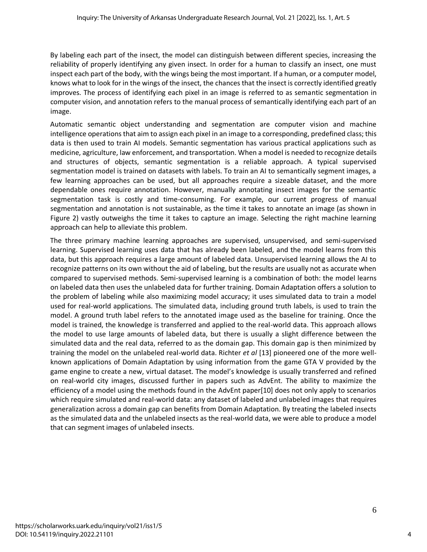By labeling each part of the insect, the model can distinguish between different species, increasing the reliability of properly identifying any given insect. In order for a human to classify an insect, one must inspect each part of the body, with the wings being the most important. If a human, or a computer model, knows what to look for in the wings of the insect, the chances that the insect is correctly identified greatly improves. The process of identifying each pixel in an image is referred to as semantic segmentation in computer vision, and annotation refers to the manual process of semantically identifying each part of an image.

Automatic semantic object understanding and segmentation are computer vision and machine intelligence operations that aim to assign each pixel in an image to a corresponding, predefined class; this data is then used to train AI models. Semantic segmentation has various practical applications such as medicine, agriculture, law enforcement, and transportation. When a model is needed to recognize details and structures of objects, semantic segmentation is a reliable approach. A typical supervised segmentation model is trained on datasets with labels. To train an AI to semantically segment images, a few learning approaches can be used, but all approaches require a sizeable dataset, and the more dependable ones require annotation. However, manually annotating insect images for the semantic segmentation task is costly and time-consuming. For example, our current progress of manual segmentation and annotation is not sustainable, as the time it takes to annotate an image (as shown in Figure 2) vastly outweighs the time it takes to capture an image. Selecting the right machine learning approach can help to alleviate this problem.

The three primary machine learning approaches are supervised, unsupervised, and semi-supervised learning. Supervised learning uses data that has already been labeled, and the model learns from this data, but this approach requires a large amount of labeled data. Unsupervised learning allows the AI to recognize patterns on its own without the aid of labeling, but the results are usually not as accurate when compared to supervised methods. Semi-supervised learning is a combination of both: the model learns on labeled data then uses the unlabeled data for further training. Domain Adaptation offers a solution to the problem of labeling while also maximizing model accuracy; it uses simulated data to train a model used for real-world applications. The simulated data, including ground truth labels, is used to train the model. A ground truth label refers to the annotated image used as the baseline for training. Once the model is trained, the knowledge is transferred and applied to the real-world data. This approach allows the model to use large amounts of labeled data, but there is usually a slight difference between the simulated data and the real data, referred to as the domain gap. This domain gap is then minimized by training the model on the unlabeled real-world data. Richter *et al* [13] pioneered one of the more wellknown applications of Domain Adaptation by using information from the game GTA V provided by the game engine to create a new, virtual dataset. The model's knowledge is usually transferred and refined on real-world city images, discussed further in papers such as AdvEnt. The ability to maximize the efficiency of a model using the methods found in the AdvEnt paper[10] does not only apply to scenarios which require simulated and real-world data: any dataset of labeled and unlabeled images that requires generalization across a domain gap can benefits from Domain Adaptation. By treating the labeled insects as the simulated data and the unlabeled insects as the real-world data, we were able to produce a model that can segment images of unlabeled insects.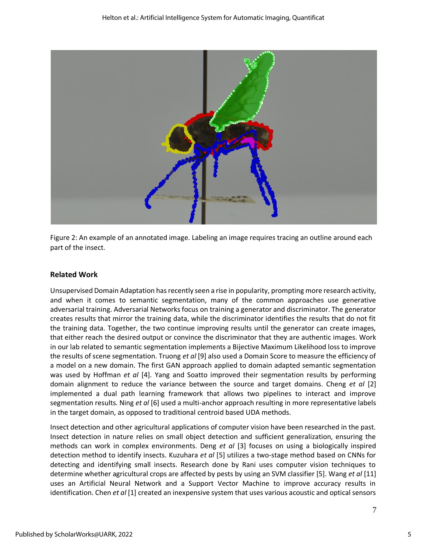

Figure 2: An example of an annotated image. Labeling an image requires tracing an outline around each part of the insect.

#### **Related Work**

Unsupervised Domain Adaptation has recently seen a rise in popularity, prompting more research activity, and when it comes to semantic segmentation, many of the common approaches use generative adversarial training. Adversarial Networks focus on training a generator and discriminator. The generator creates results that mirror the training data, while the discriminator identifies the results that do not fit the training data. Together, the two continue improving results until the generator can create images, that either reach the desired output or convince the discriminator that they are authentic images. Work in our lab related to semantic segmentation implements a Bijective Maximum Likelihood loss to improve the results of scene segmentation. Truong *et al* [9] also used a Domain Score to measure the efficiency of a model on a new domain. The first GAN approach applied to domain adapted semantic segmentation was used by Hoffman *et al* [4]. Yang and Soatto improved their segmentation results by performing domain alignment to reduce the variance between the source and target domains. Cheng *et al* [2] implemented a dual path learning framework that allows two pipelines to interact and improve segmentation results. Ning *et al* [6] used a multi-anchor approach resulting in more representative labels in the target domain, as opposed to traditional centroid based UDA methods.

Insect detection and other agricultural applications of computer vision have been researched in the past. Insect detection in nature relies on small object detection and sufficient generalization, ensuring the methods can work in complex environments. Deng *et al* [3] focuses on using a biologically inspired detection method to identify insects. Kuzuhara *et al* [5] utilizes a two-stage method based on CNNs for detecting and identifying small insects. Research done by Rani uses computer vision techniques to determine whether agricultural crops are affected by pests by using an SVM classifier [5]. Wang *et al* [11] uses an Artificial Neural Network and a Support Vector Machine to improve accuracy results in identification. Chen *et al* [1] created an inexpensive system that uses various acoustic and optical sensors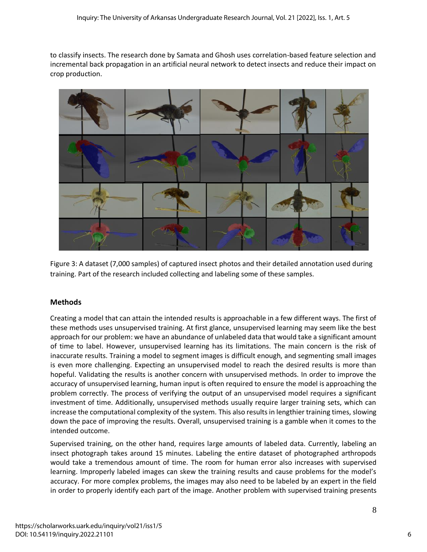to classify insects. The research done by Samata and Ghosh uses correlation-based feature selection and incremental back propagation in an artificial neural network to detect insects and reduce their impact on crop production.



Figure 3: A dataset (7,000 samples) of captured insect photos and their detailed annotation used during training. Part of the research included collecting and labeling some of these samples.

#### **Methods**

Creating a model that can attain the intended results is approachable in a few different ways. The first of these methods uses unsupervised training. At first glance, unsupervised learning may seem like the best approach for our problem: we have an abundance of unlabeled data that would take a significant amount of time to label. However, unsupervised learning has its limitations. The main concern is the risk of inaccurate results. Training a model to segment images is difficult enough, and segmenting small images is even more challenging. Expecting an unsupervised model to reach the desired results is more than hopeful. Validating the results is another concern with unsupervised methods. In order to improve the accuracy of unsupervised learning, human input is often required to ensure the model is approaching the problem correctly. The process of verifying the output of an unsupervised model requires a significant investment of time. Additionally, unsupervised methods usually require larger training sets, which can increase the computational complexity of the system. This also results in lengthier training times, slowing down the pace of improving the results. Overall, unsupervised training is a gamble when it comes to the intended outcome.

Supervised training, on the other hand, requires large amounts of labeled data. Currently, labeling an insect photograph takes around 15 minutes. Labeling the entire dataset of photographed arthropods would take a tremendous amount of time. The room for human error also increases with supervised learning. Improperly labeled images can skew the training results and cause problems for the model's accuracy. For more complex problems, the images may also need to be labeled by an expert in the field in order to properly identify each part of the image. Another problem with supervised training presents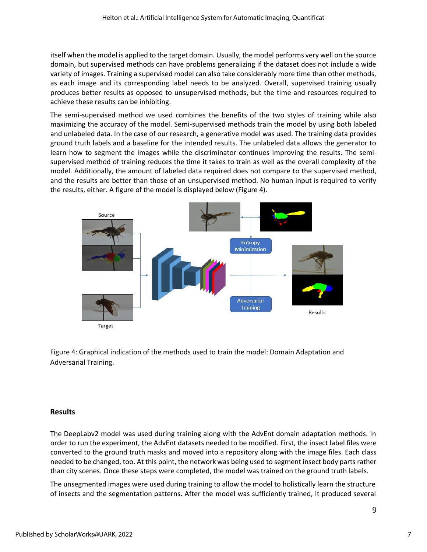itself when the model is applied to the target domain. Usually, the model performs very well on the source domain, but supervised methods can have problems generalizing if the dataset does not include a wide variety of images. Training a supervised model can also take considerably more time than other methods, as each image and its corresponding label needs to be analyzed. Overall, supervised training usually produces better results as opposed to unsupervised methods, but the time and resources required to achieve these results can be inhibiting.

The semi-supervised method we used combines the benefits of the two styles of training while also maximizing the accuracy of the model. Semi-supervised methods train the model by using both labeled and unlabeled data. In the case of our research, a generative model was used. The training data provides ground truth labels and a baseline for the intended results. The unlabeled data allows the generator to learn how to segment the images while the discriminator continues improving the results. The semisupervised method of training reduces the time it takes to train as well as the overall complexity of the model. Additionally, the amount of labeled data required does not compare to the supervised method, and the results are better than those of an unsupervised method. No human input is required to verify the results, either. A figure of the model is displayed below (Figure 4).



Figure 4: Graphical indication of the methods used to train the model: Domain Adaptation and Adversarial Training.

#### **Results**

The DeepLabv2 model was used during training along with the AdvEnt domain adaptation methods. In order to run the experiment, the AdvEnt datasets needed to be modified. First, the insect label files were converted to the ground truth masks and moved into a repository along with the image files. Each class needed to be changed, too. At this point, the network was being used to segment insect body parts rather than city scenes. Once these steps were completed, the model was trained on the ground truth labels.

The unsegmented images were used during training to allow the model to holistically learn the structure of insects and the segmentation patterns. After the model was sufficiently trained, it produced several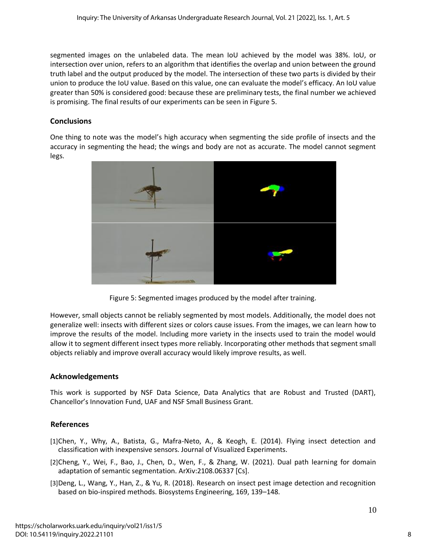segmented images on the unlabeled data. The mean IoU achieved by the model was 38%. IoU, or intersection over union, refers to an algorithm that identifies the overlap and union between the ground truth label and the output produced by the model. The intersection of these two parts is divided by their union to produce the IoU value. Based on this value, one can evaluate the model's efficacy. An IoU value greater than 50% is considered good: because these are preliminary tests, the final number we achieved is promising. The final results of our experiments can be seen in Figure 5.

#### **Conclusions**

One thing to note was the model's high accuracy when segmenting the side profile of insects and the accuracy in segmenting the head; the wings and body are not as accurate. The model cannot segment legs.



Figure 5: Segmented images produced by the model after training.

However, small objects cannot be reliably segmented by most models. Additionally, the model does not generalize well: insects with different sizes or colors cause issues. From the images, we can learn how to improve the results of the model. Including more variety in the insects used to train the model would allow it to segment different insect types more reliably. Incorporating other methods that segment small objects reliably and improve overall accuracy would likely improve results, as well.

#### **Acknowledgements**

This work is supported by NSF Data Science, Data Analytics that are Robust and Trusted (DART), Chancellor's Innovation Fund, UAF and NSF Small Business Grant.

#### **References**

- [1]Chen, Y., Why, A., Batista, G., Mafra-Neto, A., & Keogh, E. (2014). Flying insect detection and classification with inexpensive sensors. Journal of Visualized Experiments.
- [2]Cheng, Y., Wei, F., Bao, J., Chen, D., Wen, F., & Zhang, W. (2021). Dual path learning for domain adaptation of semantic segmentation. ArXiv:2108.06337 [Cs].
- [3]Deng, L., Wang, Y., Han, Z., & Yu, R. (2018). Research on insect pest image detection and recognition based on bio-inspired methods. Biosystems Engineering, 169, 139–148.